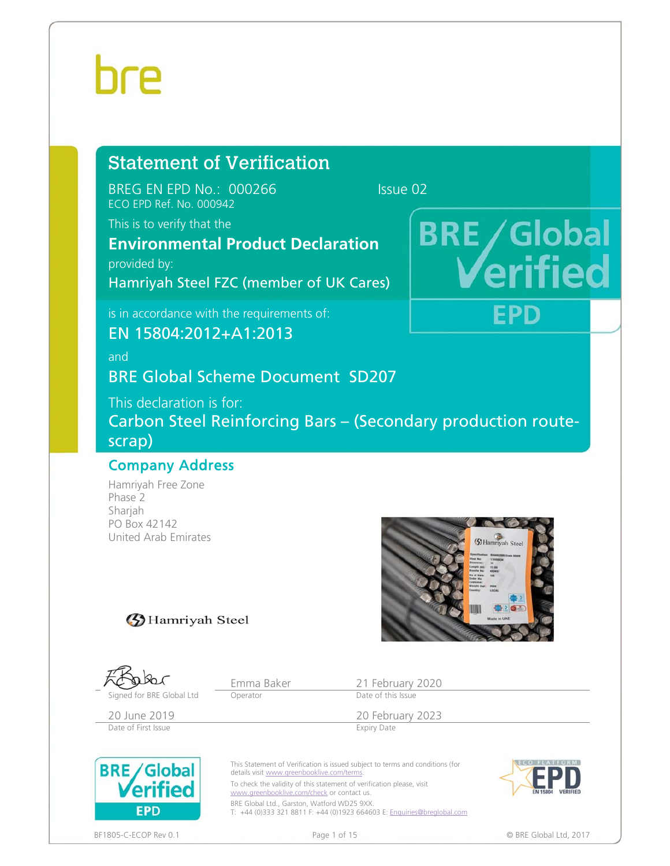## Statement of Verification

BREG EN EPD No.: 000266 Issue 02 ECO EPD Ref. No. 000942

This is to verify that the

## **Environmental Product Declaration**

provided by:

Hamriyah Steel FZC (member of UK Cares)

is in accordance with the requirements of:

EN 15804:2012+A1:2013

and

BRE Global Scheme Document SD207

This declaration is for: Carbon Steel Reinforcing Bars – (Secondary production routescrap)

### Company Address

Hamriyah Free Zone Phase 2 Sharjah PO Box 42142 United Arab Emirates



**BRE/Global** 

EPD

### **3** Hamriyah Steel

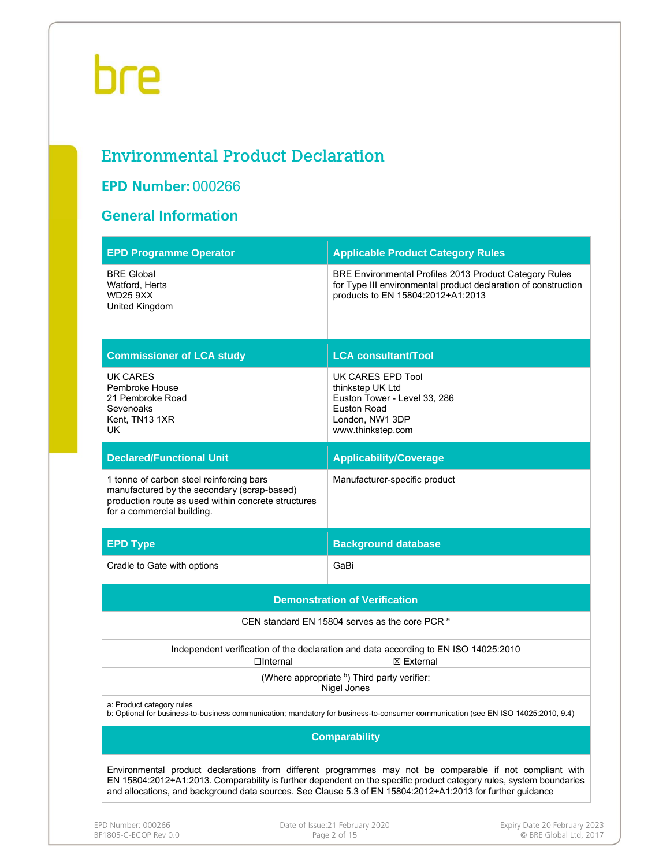## Environmental Product Declaration

### **EPD Number:** 000266

### **General Information**

| <b>EPD Programme Operator</b>                                                                                                                                                | <b>Applicable Product Category Rules</b>                                                                                                                                                                                                                                                                                                      |  |  |  |  |  |
|------------------------------------------------------------------------------------------------------------------------------------------------------------------------------|-----------------------------------------------------------------------------------------------------------------------------------------------------------------------------------------------------------------------------------------------------------------------------------------------------------------------------------------------|--|--|--|--|--|
| <b>BRE Global</b><br>Watford, Herts<br><b>WD25 9XX</b><br>United Kingdom                                                                                                     | BRE Environmental Profiles 2013 Product Category Rules<br>for Type III environmental product declaration of construction<br>products to EN 15804:2012+A1:2013                                                                                                                                                                                 |  |  |  |  |  |
| <b>Commissioner of LCA study</b>                                                                                                                                             | <b>LCA consultant/Tool</b>                                                                                                                                                                                                                                                                                                                    |  |  |  |  |  |
| <b>UK CARES</b><br>Pembroke House<br>21 Pembroke Road<br>Sevenoaks<br>Kent, TN13 1XR<br>UK                                                                                   | UK CARES EPD Tool<br>thinkstep UK Ltd<br>Euston Tower - Level 33, 286<br>Euston Road<br>London, NW1 3DP<br>www.thinkstep.com                                                                                                                                                                                                                  |  |  |  |  |  |
| <b>Declared/Functional Unit</b>                                                                                                                                              | <b>Applicability/Coverage</b>                                                                                                                                                                                                                                                                                                                 |  |  |  |  |  |
| 1 tonne of carbon steel reinforcing bars<br>manufactured by the secondary (scrap-based)<br>production route as used within concrete structures<br>for a commercial building. | Manufacturer-specific product                                                                                                                                                                                                                                                                                                                 |  |  |  |  |  |
| <b>EPD Type</b>                                                                                                                                                              | <b>Background database</b>                                                                                                                                                                                                                                                                                                                    |  |  |  |  |  |
| Cradle to Gate with options                                                                                                                                                  | GaBi                                                                                                                                                                                                                                                                                                                                          |  |  |  |  |  |
|                                                                                                                                                                              | <b>Demonstration of Verification</b>                                                                                                                                                                                                                                                                                                          |  |  |  |  |  |
|                                                                                                                                                                              | CEN standard EN 15804 serves as the core PCR <sup>a</sup>                                                                                                                                                                                                                                                                                     |  |  |  |  |  |
| $\Box$ Internal                                                                                                                                                              | Independent verification of the declaration and data according to EN ISO 14025:2010<br>⊠ External                                                                                                                                                                                                                                             |  |  |  |  |  |
|                                                                                                                                                                              | (Where appropriate b) Third party verifier:<br>Nigel Jones                                                                                                                                                                                                                                                                                    |  |  |  |  |  |
| a: Product category rules<br>b: Optional for business-to-business communication; mandatory for business-to-consumer communication (see EN ISO 14025:2010, 9.4)               |                                                                                                                                                                                                                                                                                                                                               |  |  |  |  |  |
|                                                                                                                                                                              | <b>Comparability</b>                                                                                                                                                                                                                                                                                                                          |  |  |  |  |  |
|                                                                                                                                                                              | Environmental product declarations from different programmes may not be comparable if not compliant with<br>EN 15804:2012+A1:2013. Comparability is further dependent on the specific product category rules, system boundaries<br>and allocations, and background data sources. See Clause 5.3 of EN 15804:2012+A1:2013 for further guidance |  |  |  |  |  |
|                                                                                                                                                                              |                                                                                                                                                                                                                                                                                                                                               |  |  |  |  |  |

EPD Number: 000266 Date of Issue:21 February 2020<br>BF1805-C-ECOP Rev 0.0 Page 2 of 15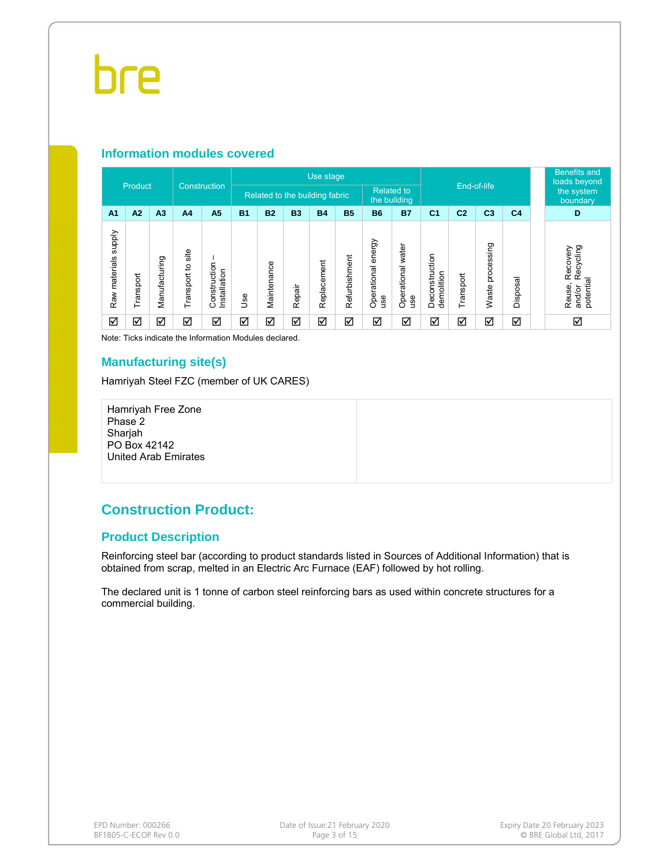#### **Information modules covered**

|                                   |           |                |                         |                             |           | Use stage                      |           |             |               |                              | End-of-life                       |                              |                   | <b>Benefits and</b><br>loads beyond |                    |                                                        |
|-----------------------------------|-----------|----------------|-------------------------|-----------------------------|-----------|--------------------------------|-----------|-------------|---------------|------------------------------|-----------------------------------|------------------------------|-------------------|-------------------------------------|--------------------|--------------------------------------------------------|
| Product                           |           |                | Construction            |                             |           | Related to the building fabric |           |             |               |                              | <b>Related to</b><br>the building |                              |                   |                                     |                    | the system<br>boundary                                 |
| A <sub>1</sub>                    | A2        | A <sub>3</sub> | A <sub>4</sub>          | A5                          | <b>B1</b> | <b>B2</b>                      | <b>B3</b> | <b>B4</b>   | <b>B5</b>     | <b>B6</b>                    | <b>B7</b>                         | C <sub>1</sub>               | C <sub>2</sub>    | C <sub>3</sub>                      | C <sub>4</sub>     | D                                                      |
| <b>Supply</b><br>materials<br>Raw | Transport | Manufacturing  | site<br>٥,<br>Transport | Construction<br>nstallation | ە<br>گ    | Maintenance                    | Repair    | Replacement | Refurbishment | energy<br>Operational<br>use | Operational water<br>use          | Deconstruction<br>demolition | <b>SC</b><br>rans | ssing<br>proces<br>ste<br>ğ         | त्त<br>Ö<br>Dispos | Recycling<br>Recovery<br>potential<br>Reuse,<br>and/or |
| ☑                                 | ☑         | ☑              | ☑                       | ☑                           | ☑         | ☑                              | ☑         | ☑           | ☑             | ☑                            | ☑                                 | ☑                            | ☑                 | ☑                                   | ☑                  | ☑                                                      |

Note: Ticks indicate the Information Modules declared.

#### **Manufacturing site(s)**

Hamriyah Steel FZC (member of UK CARES)

Hamriyah Free Zone Phase 2 Sharjah PO Box 42142 United Arab Emirates

### **Construction Product:**

#### **Product Description**

Reinforcing steel bar (according to product standards listed in Sources of Additional Information) that is obtained from scrap, melted in an Electric Arc Furnace (EAF) followed by hot rolling.

The declared unit is 1 tonne of carbon steel reinforcing bars as used within concrete structures for a commercial building.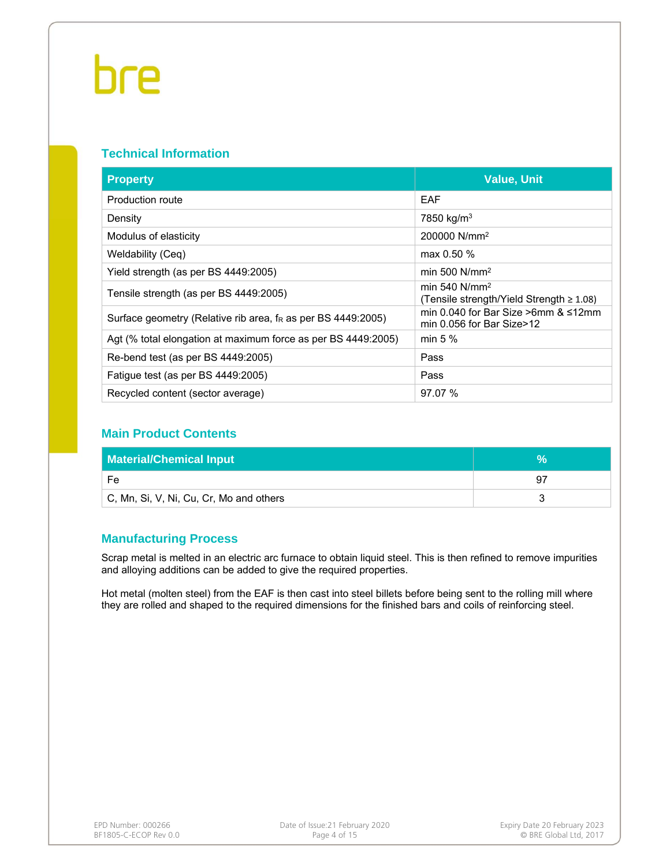#### **Technical Information**

| <b>Property</b>                                                          | <b>Value, Unit</b>                                                 |
|--------------------------------------------------------------------------|--------------------------------------------------------------------|
| Production route                                                         | EAF                                                                |
| Density                                                                  | 7850 kg/m <sup>3</sup>                                             |
| Modulus of elasticity                                                    | 200000 N/mm <sup>2</sup>                                           |
| Weldability (Ceq)                                                        | max $0.50 \%$                                                      |
| Yield strength (as per BS 4449:2005)                                     | min 500 $N/mm^2$                                                   |
| Tensile strength (as per BS 4449:2005)                                   | min 540 $N/mm^2$<br>(Tensile strength/Yield Strength $\geq 1.08$ ) |
| Surface geometry (Relative rib area, f <sub>R</sub> as per BS 4449:2005) | min 0.040 for Bar Size >6mm $<12$ mm<br>min 0.056 for Bar Size>12  |
| Agt (% total elongation at maximum force as per BS 4449:2005)            | min $5%$                                                           |
| Re-bend test (as per BS 4449:2005)                                       | Pass                                                               |
| Fatigue test (as per BS 4449:2005)                                       | Pass                                                               |
| Recycled content (sector average)                                        | 97.07 %                                                            |

### **Main Product Contents**

| <b>Material/Chemical Input</b>          |     |
|-----------------------------------------|-----|
| Fe                                      | -97 |
| C, Mn, Si, V, Ni, Cu, Cr, Mo and others |     |

#### **Manufacturing Process**

Scrap metal is melted in an electric arc furnace to obtain liquid steel. This is then refined to remove impurities and alloying additions can be added to give the required properties.

Hot metal (molten steel) from the EAF is then cast into steel billets before being sent to the rolling mill where they are rolled and shaped to the required dimensions for the finished bars and coils of reinforcing steel.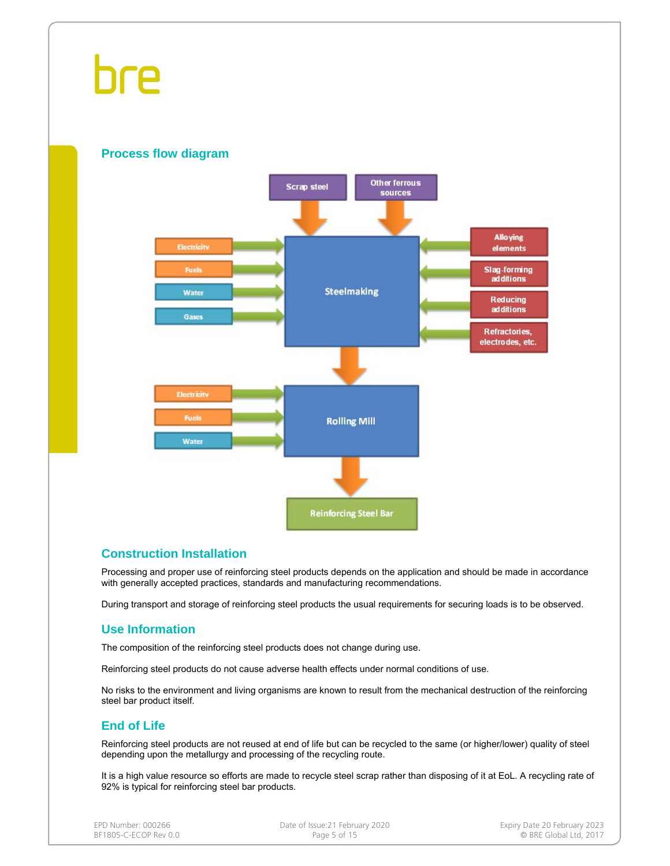#### **Process flow diagram**



#### **Construction Installation**

Processing and proper use of reinforcing steel products depends on the application and should be made in accordance with generally accepted practices, standards and manufacturing recommendations.

During transport and storage of reinforcing steel products the usual requirements for securing loads is to be observed.

#### **Use Information**

The composition of the reinforcing steel products does not change during use.

Reinforcing steel products do not cause adverse health effects under normal conditions of use.

No risks to the environment and living organisms are known to result from the mechanical destruction of the reinforcing steel bar product itself.

#### **End of Life**

Reinforcing steel products are not reused at end of life but can be recycled to the same (or higher/lower) quality of steel depending upon the metallurgy and processing of the recycling route.

It is a high value resource so efforts are made to recycle steel scrap rather than disposing of it at EoL. A recycling rate of 92% is typical for reinforcing steel bar products.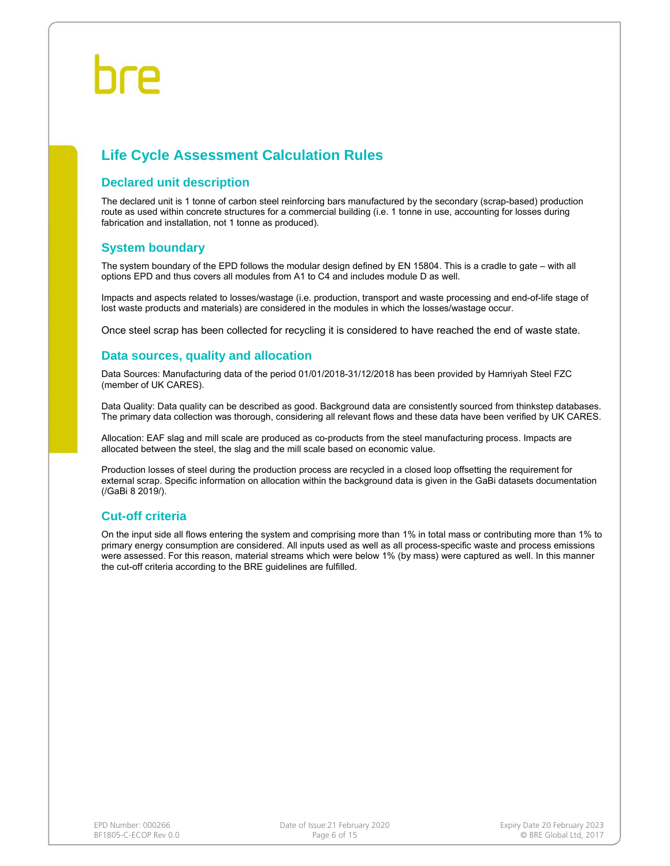### **Life Cycle Assessment Calculation Rules**

#### **Declared unit description**

The declared unit is 1 tonne of carbon steel reinforcing bars manufactured by the secondary (scrap-based) production route as used within concrete structures for a commercial building (i.e. 1 tonne in use, accounting for losses during fabrication and installation, not 1 tonne as produced).

#### **System boundary**

The system boundary of the EPD follows the modular design defined by EN 15804. This is a cradle to gate – with all options EPD and thus covers all modules from A1 to C4 and includes module D as well.

Impacts and aspects related to losses/wastage (i.e. production, transport and waste processing and end-of-life stage of lost waste products and materials) are considered in the modules in which the losses/wastage occur.

Once steel scrap has been collected for recycling it is considered to have reached the end of waste state.

#### **Data sources, quality and allocation**

Data Sources: Manufacturing data of the period 01/01/2018-31/12/2018 has been provided by Hamriyah Steel FZC (member of UK CARES).

Data Quality: Data quality can be described as good. Background data are consistently sourced from thinkstep databases. The primary data collection was thorough, considering all relevant flows and these data have been verified by UK CARES.

Allocation: EAF slag and mill scale are produced as co-products from the steel manufacturing process. Impacts are allocated between the steel, the slag and the mill scale based on economic value.

Production losses of steel during the production process are recycled in a closed loop offsetting the requirement for external scrap. Specific information on allocation within the background data is given in the GaBi datasets documentation (/GaBi 8 2019/).

#### **Cut-off criteria**

On the input side all flows entering the system and comprising more than 1% in total mass or contributing more than 1% to primary energy consumption are considered. All inputs used as well as all process-specific waste and process emissions were assessed. For this reason, material streams which were below 1% (by mass) were captured as well. In this manner the cut-off criteria according to the BRE guidelines are fulfilled.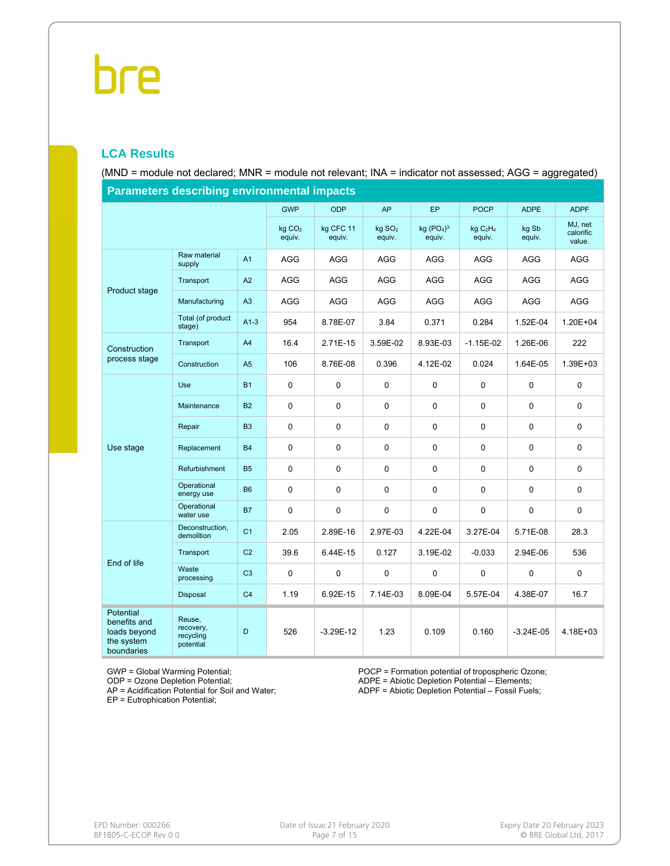#### **LCA Results**

(MND = module not declared; MNR = module not relevant; INA = indicator not assessed; AGG = aggregated)

| <b>Parameters describing environmental impacts</b>                    |                                               |                |                              |                     |                              |                       |                                           |                 |                                |
|-----------------------------------------------------------------------|-----------------------------------------------|----------------|------------------------------|---------------------|------------------------------|-----------------------|-------------------------------------------|-----------------|--------------------------------|
|                                                                       |                                               |                | <b>GWP</b>                   | <b>ODP</b>          | <b>AP</b>                    | <b>EP</b>             | <b>POCP</b>                               | <b>ADPE</b>     | <b>ADPF</b>                    |
|                                                                       |                                               |                | kg CO <sub>2</sub><br>equiv. | kg CFC 11<br>equiv. | kg SO <sub>2</sub><br>equiv. | kg $(PO4)3$<br>equiv. | kgC <sub>2</sub> H <sub>4</sub><br>equiv. | kg Sb<br>equiv. | MJ, net<br>calorific<br>value. |
|                                                                       | Raw material<br>supply                        | A <sub>1</sub> | <b>AGG</b>                   | <b>AGG</b>          | <b>AGG</b>                   | <b>AGG</b>            | <b>AGG</b>                                | <b>AGG</b>      | <b>AGG</b>                     |
| Product stage                                                         | Transport                                     | A2             | AGG                          | <b>AGG</b>          | <b>AGG</b>                   | AGG                   | AGG                                       | AGG             | AGG                            |
|                                                                       | Manufacturing                                 | A3             | <b>AGG</b>                   | <b>AGG</b>          | <b>AGG</b>                   | <b>AGG</b>            | <b>AGG</b>                                | <b>AGG</b>      | AGG                            |
|                                                                       | Total (of product<br>stage)                   | $A1-3$         | 954                          | 8.78E-07            | 3.84                         | 0.371                 | 0.284                                     | 1.52E-04        | 1.20E+04                       |
| Construction                                                          | Transport                                     | A4             | 16.4                         | 2.71E-15            | 3.59E-02                     | 8.93E-03              | $-1.15E-02$                               | 1.26E-06        | 222                            |
| process stage                                                         | Construction                                  | A <sub>5</sub> | 106                          | 8.76E-08            | 0.396                        | 4.12E-02              | 0.024                                     | 1.64E-05        | 1.39E+03                       |
|                                                                       | Use                                           | <b>B1</b>      | $\pmb{0}$                    | $\mathbf 0$         | $\mathsf 0$                  | $\mathbf 0$           | 0                                         | $\mathbf 0$     | 0                              |
|                                                                       | Maintenance                                   | <b>B2</b>      | $\mathsf 0$                  | $\mathbf 0$         | 0                            | 0                     | 0                                         | $\mathbf 0$     | $\mathbf 0$                    |
|                                                                       | Repair                                        | B <sub>3</sub> | 0                            | 0                   | 0                            | 0                     | 0                                         | 0               | 0                              |
| Use stage                                                             | Replacement                                   | <b>B4</b>      | 0                            | $\mathbf 0$         | 0                            | 0                     | $\mathbf 0$                               | $\mathbf 0$     | $\mathbf 0$                    |
|                                                                       | Refurbishment                                 | <b>B5</b>      | $\mathbf 0$                  | 0                   | $\mathbf 0$                  | 0                     | 0                                         | 0               | 0                              |
|                                                                       | Operational<br>energy use                     | <b>B6</b>      | 0                            | 0                   | 0                            | 0                     | 0                                         | $\Omega$        | $\mathbf 0$                    |
|                                                                       | Operational<br>water use                      | <b>B7</b>      | 0                            | 0                   | 0                            | 0                     | $\mathbf 0$                               | 0               | 0                              |
|                                                                       | Deconstruction,<br>demolition                 | C <sub>1</sub> | 2.05                         | 2.89E-16            | 2.97E-03                     | 4.22E-04              | 3.27E-04                                  | 5.71E-08        | 28.3                           |
| End of life                                                           | Transport                                     | C <sub>2</sub> | 39.6                         | 6.44E-15            | 0.127                        | 3.19E-02              | $-0.033$                                  | 2.94E-06        | 536                            |
|                                                                       | Waste<br>processing                           | C <sub>3</sub> | 0                            | $\mathbf 0$         | $\mathsf 0$                  | $\pmb{0}$             | $\mathbf 0$                               | 0               | $\mathbf 0$                    |
|                                                                       | Disposal                                      | C <sub>4</sub> | 1.19                         | 6.92E-15            | 7.14E-03                     | 8.09E-04              | 5.57E-04                                  | 4.38E-07        | 16.7                           |
| Potential<br>benefits and<br>loads beyond<br>the system<br>boundaries | Reuse,<br>recovery,<br>recycling<br>potential | D              | 526                          | $-3.29E-12$         | 1.23                         | 0.109                 | 0.160                                     | $-3.24E - 05$   | 4.18E+03                       |

**Parameters describing environmental impacts**

GWP = Global Warming Potential;

ODP = Ozone Depletion Potential;

AP = Acidification Potential for Soil and Water; EP = Eutrophication Potential;

POCP = Formation potential of tropospheric Ozone; ADPE = Abiotic Depletion Potential – Elements;

ADPF = Abiotic Depletion Potential – Fossil Fuels;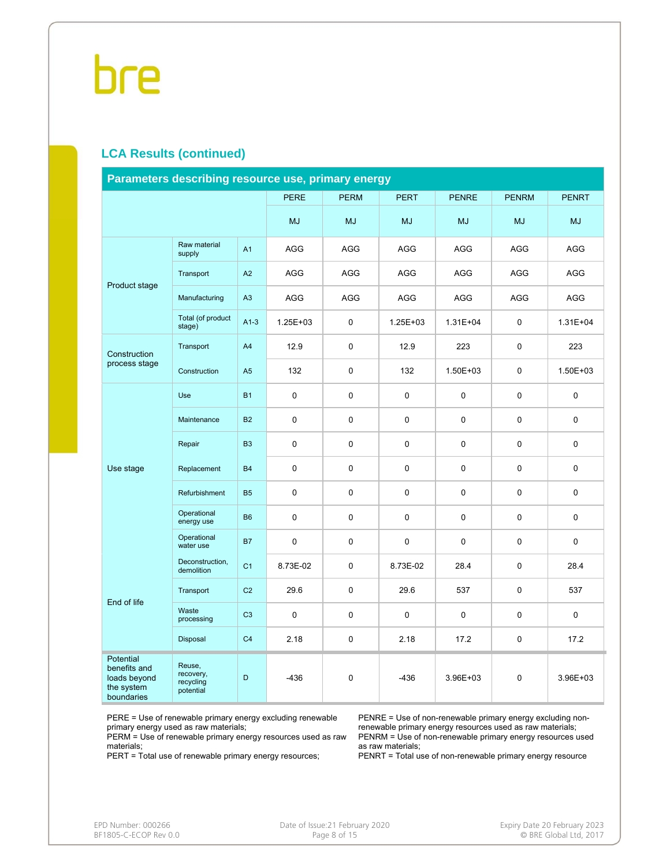#### **LCA Results (continued)**

| Parameters describing resource use, primary energy                    |                                               |                |              |             |              |              |              |              |  |
|-----------------------------------------------------------------------|-----------------------------------------------|----------------|--------------|-------------|--------------|--------------|--------------|--------------|--|
|                                                                       |                                               |                | <b>PERE</b>  | <b>PERM</b> | <b>PERT</b>  | <b>PENRE</b> | <b>PENRM</b> | <b>PENRT</b> |  |
|                                                                       |                                               |                | <b>MJ</b>    | <b>MJ</b>   | <b>MJ</b>    | <b>MJ</b>    | <b>MJ</b>    | <b>MJ</b>    |  |
|                                                                       | Raw material<br>supply                        | A <sub>1</sub> | AGG          | AGG         | AGG          | <b>AGG</b>   | AGG          | AGG          |  |
| Product stage                                                         | Transport                                     | A2             | AGG          | <b>AGG</b>  | <b>AGG</b>   | AGG          | <b>AGG</b>   | <b>AGG</b>   |  |
|                                                                       | Manufacturing                                 | A3             | AGG          | <b>AGG</b>  | <b>AGG</b>   | <b>AGG</b>   | <b>AGG</b>   | <b>AGG</b>   |  |
|                                                                       | Total (of product<br>stage)                   | $A1-3$         | $1.25E + 03$ | 0           | $1.25E + 03$ | $1.31E + 04$ | 0            | $1.31E + 04$ |  |
| Construction                                                          | Transport                                     | A4             | 12.9         | 0           | 12.9         | 223          | 0            | 223          |  |
| process stage                                                         | Construction                                  | A <sub>5</sub> | 132          | 0           | 132          | 1.50E+03     | 0            | $1.50E + 03$ |  |
|                                                                       | Use                                           | <b>B1</b>      | $\mathbf 0$  | 0           | $\mathbf 0$  | 0            | 0            | $\pmb{0}$    |  |
|                                                                       | Maintenance                                   | <b>B2</b>      | $\mathbf 0$  | 0           | $\mathbf 0$  | 0            | 0            | $\mathbf 0$  |  |
|                                                                       | Repair                                        | B <sub>3</sub> | 0            | 0           | 0            | 0            | 0            | 0            |  |
| Use stage                                                             | Replacement                                   | <b>B4</b>      | $\pmb{0}$    | 0           | $\mathbf 0$  | 0            | 0            | $\mathbf 0$  |  |
|                                                                       | Refurbishment                                 | <b>B5</b>      | 0            | 0           | 0            | $\Omega$     | 0            | 0            |  |
|                                                                       | Operational<br>energy use                     | <b>B6</b>      | 0            | 0           | 0            | $\Omega$     | 0            | 0            |  |
|                                                                       | Operational<br>water use                      | <b>B7</b>      | $\mathbf 0$  | 0           | $\mathbf 0$  | $\Omega$     | 0            | 0            |  |
|                                                                       | Deconstruction,<br>demolition                 | C <sub>1</sub> | 8.73E-02     | 0           | 8.73E-02     | 28.4         | 0            | 28.4         |  |
| End of life                                                           | Transport                                     | C <sub>2</sub> | 29.6         | 0           | 29.6         | 537          | 0            | 537          |  |
|                                                                       | Waste<br>processing                           | C <sub>3</sub> | 0            | 0           | $\mathbf 0$  | $\Omega$     | 0            | 0            |  |
|                                                                       | Disposal                                      | C <sub>4</sub> | 2.18         | 0           | 2.18         | 17.2         | 0            | 17.2         |  |
| Potential<br>benefits and<br>loads beyond<br>the system<br>boundaries | Reuse,<br>recovery,<br>recycling<br>potential | D              | $-436$       | 0           | $-436$       | 3.96E+03     | 0            | 3.96E+03     |  |

PERE = Use of renewable primary energy excluding renewable primary energy used as raw materials;

PERM = Use of renewable primary energy resources used as raw materials;

PERT = Total use of renewable primary energy resources;

PENRE = Use of non-renewable primary energy excluding nonrenewable primary energy resources used as raw materials; PENRM = Use of non-renewable primary energy resources used as raw materials;

PENRT = Total use of non-renewable primary energy resource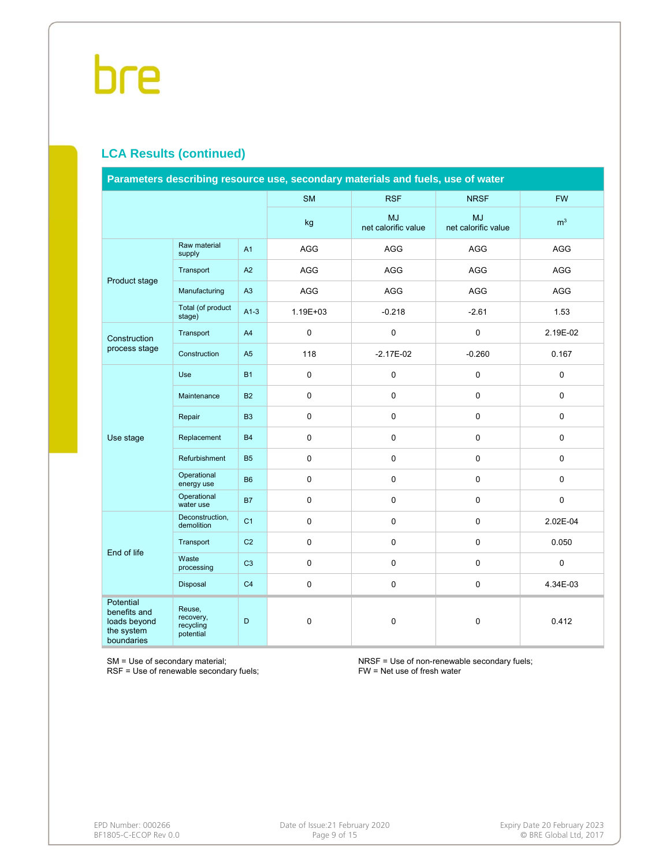### **LCA Results (continued)**

| Parameters describing resource use, secondary materials and fuels, use of water |                                               |                |             |                                  |                           |                |  |  |
|---------------------------------------------------------------------------------|-----------------------------------------------|----------------|-------------|----------------------------------|---------------------------|----------------|--|--|
|                                                                                 |                                               |                | <b>SM</b>   | <b>RSF</b>                       | <b>NRSF</b>               | <b>FW</b>      |  |  |
|                                                                                 |                                               |                | kg          | <b>MJ</b><br>net calorific value | MJ<br>net calorific value | m <sup>3</sup> |  |  |
|                                                                                 | Raw material<br>supply                        | A1             | AGG         | AGG                              | AGG                       | AGG            |  |  |
| Product stage                                                                   | Transport                                     | A2             | AGG         | AGG                              | <b>AGG</b>                | <b>AGG</b>     |  |  |
|                                                                                 | Manufacturing                                 | A3             | AGG         | AGG                              | <b>AGG</b>                | AGG            |  |  |
|                                                                                 | Total (of product<br>stage)                   | $A1-3$         | 1.19E+03    | $-0.218$                         | $-2.61$                   | 1.53           |  |  |
| Construction                                                                    | Transport                                     | A4             | $\pmb{0}$   | $\mathsf 0$                      | $\mathsf 0$               | 2.19E-02       |  |  |
| process stage                                                                   | Construction                                  | A <sub>5</sub> | 118         | $-2.17E-02$                      | $-0.260$                  | 0.167          |  |  |
|                                                                                 | Use                                           | <b>B1</b>      | $\mathbf 0$ | $\mathsf 0$                      | 0                         | 0              |  |  |
|                                                                                 | Maintenance                                   | <b>B2</b>      | $\pmb{0}$   | 0                                | $\mathbf 0$               | $\pmb{0}$      |  |  |
|                                                                                 | Repair                                        | B <sub>3</sub> | $\pmb{0}$   | $\mathsf 0$                      | 0                         | 0              |  |  |
| Use stage                                                                       | Replacement                                   | <b>B4</b>      | $\mathsf 0$ | $\mathbf 0$                      | $\mathbf 0$               | $\mathbf 0$    |  |  |
|                                                                                 | Refurbishment                                 | <b>B5</b>      | $\pmb{0}$   | 0                                | $\mathsf 0$               | $\pmb{0}$      |  |  |
|                                                                                 | Operational<br>energy use                     | <b>B6</b>      | $\pmb{0}$   | 0                                | $\mathbf 0$               | $\pmb{0}$      |  |  |
|                                                                                 | Operational<br>water use                      | <b>B7</b>      | $\pmb{0}$   | $\mathsf{O}\xspace$              | $\pmb{0}$                 | $\pmb{0}$      |  |  |
|                                                                                 | Deconstruction,<br>demolition                 | C <sub>1</sub> | $\pmb{0}$   | $\mathsf 0$                      | 0                         | 2.02E-04       |  |  |
| End of life                                                                     | Transport                                     | C <sub>2</sub> | $\mathbf 0$ | $\mathbf 0$                      | $\mathbf 0$               | 0.050          |  |  |
|                                                                                 | Waste<br>processing                           | C <sub>3</sub> | $\pmb{0}$   | $\mathsf 0$                      | $\mathsf 0$               | $\pmb{0}$      |  |  |
|                                                                                 | Disposal                                      | C <sub>4</sub> | $\pmb{0}$   | $\mathsf 0$                      | 0                         | 4.34E-03       |  |  |
| Potential<br>benefits and<br>loads beyond<br>the system<br>boundaries           | Reuse,<br>recovery,<br>recycling<br>potential | D              | $\pmb{0}$   | $\pmb{0}$                        | 0                         | 0.412          |  |  |

SM = Use of secondary material;

RSF = Use of renewable secondary fuels;

NRSF = Use of non-renewable secondary fuels; FW = Net use of fresh water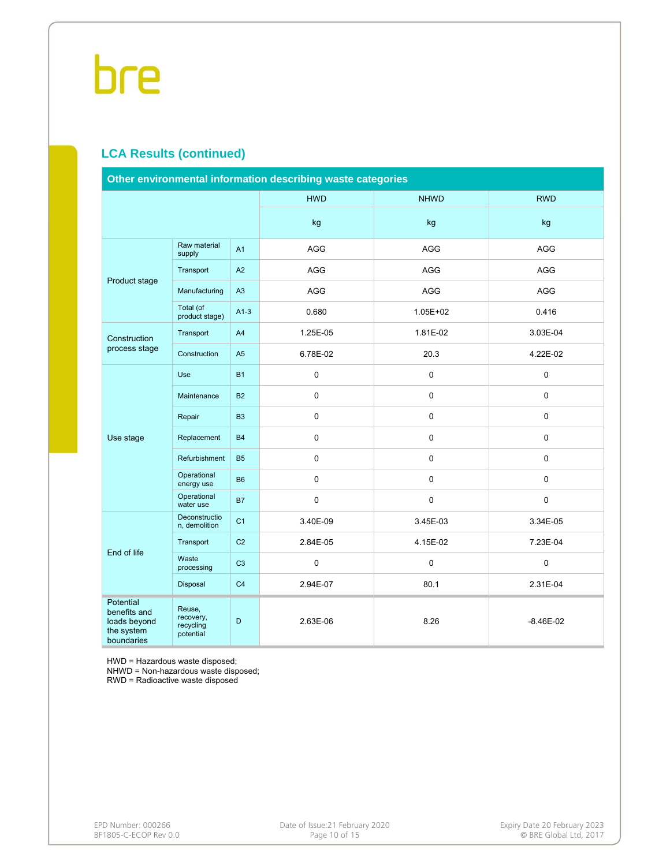### **LCA Results (continued)**

| Other environmental information describing waste categories           |                                               |                |            |             |               |  |  |  |
|-----------------------------------------------------------------------|-----------------------------------------------|----------------|------------|-------------|---------------|--|--|--|
|                                                                       |                                               |                | <b>HWD</b> | <b>NHWD</b> | <b>RWD</b>    |  |  |  |
|                                                                       |                                               |                | kg         | kg          | kg            |  |  |  |
|                                                                       | Raw material<br>supply                        | A <sub>1</sub> | <b>AGG</b> | <b>AGG</b>  | <b>AGG</b>    |  |  |  |
|                                                                       | Transport                                     | A2             | AGG        | AGG         | AGG           |  |  |  |
| Product stage                                                         | Manufacturing                                 | A3             | AGG        | AGG         | AGG           |  |  |  |
|                                                                       | Total (of<br>product stage)                   | $A1-3$         | 0.680      | 1.05E+02    | 0.416         |  |  |  |
| Construction                                                          | Transport                                     | A4             | 1.25E-05   | 1.81E-02    | 3.03E-04      |  |  |  |
| process stage                                                         | Construction                                  | A <sub>5</sub> | 6.78E-02   | 20.3        | 4.22E-02      |  |  |  |
|                                                                       | Use                                           | <b>B1</b>      | 0          | $\mathbf 0$ | 0             |  |  |  |
|                                                                       | Maintenance                                   | <b>B2</b>      | 0          | $\mathbf 0$ | $\Omega$      |  |  |  |
|                                                                       | Repair                                        | <b>B3</b>      | 0          | $\mathbf 0$ | $\mathbf 0$   |  |  |  |
| Use stage                                                             | Replacement                                   | <b>B4</b>      | 0          | $\pmb{0}$   | 0             |  |  |  |
|                                                                       | Refurbishment                                 | <b>B5</b>      | 0          | $\mathbf 0$ | $\Omega$      |  |  |  |
|                                                                       | Operational<br>energy use                     | <b>B6</b>      | 0          | 0           | 0             |  |  |  |
|                                                                       | Operational<br>water use                      | <b>B7</b>      | 0          | $\mathbf 0$ | $\mathbf 0$   |  |  |  |
|                                                                       | Deconstructio<br>n, demolition                | C <sub>1</sub> | 3.40E-09   | 3.45E-03    | 3.34E-05      |  |  |  |
|                                                                       | Transport                                     | C <sub>2</sub> | 2.84E-05   | 4.15E-02    | 7.23E-04      |  |  |  |
| End of life                                                           | Waste<br>processing                           | C <sub>3</sub> | 0          | $\mathbf 0$ | $\mathbf 0$   |  |  |  |
|                                                                       | Disposal                                      | C <sub>4</sub> | 2.94E-07   | 80.1        | 2.31E-04      |  |  |  |
| Potential<br>benefits and<br>loads beyond<br>the system<br>boundaries | Reuse,<br>recovery,<br>recycling<br>potential | D              | 2.63E-06   | 8.26        | $-8.46E - 02$ |  |  |  |

HWD = Hazardous waste disposed;

NHWD = Non-hazardous waste disposed;

RWD = Radioactive waste disposed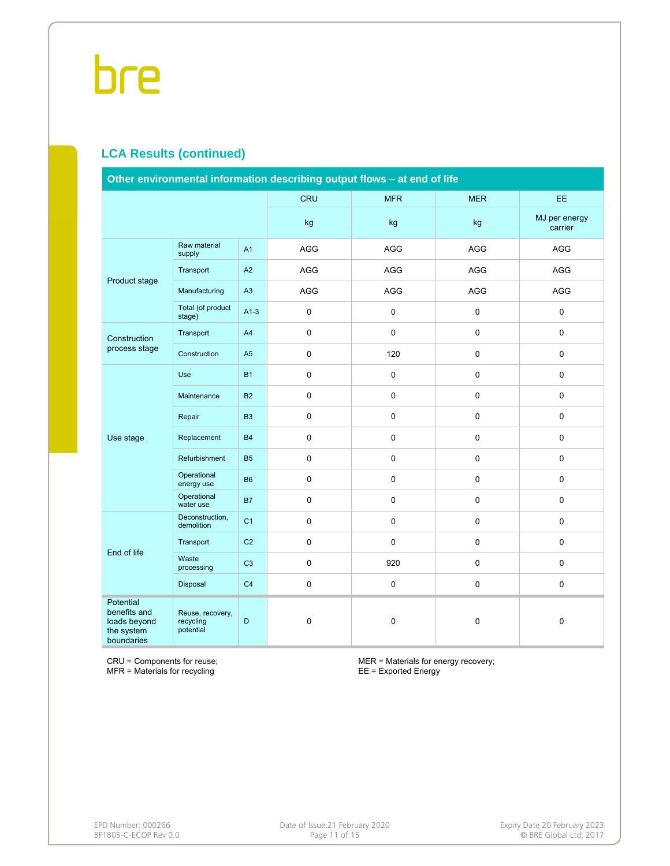### **LCA Results (continued)**

| Other environmental information describing output flows - at end of life     |                                            |                |             |             |                     |                          |  |  |  |
|------------------------------------------------------------------------------|--------------------------------------------|----------------|-------------|-------------|---------------------|--------------------------|--|--|--|
|                                                                              |                                            |                | <b>CRU</b>  | <b>MFR</b>  | <b>MER</b>          | EE                       |  |  |  |
|                                                                              |                                            |                | kg          | kg          | kg                  | MJ per energy<br>carrier |  |  |  |
|                                                                              | Raw material<br>supply                     | A <sub>1</sub> | <b>AGG</b>  | <b>AGG</b>  | <b>AGG</b>          | <b>AGG</b>               |  |  |  |
|                                                                              | Transport                                  | A2             | AGG         | AGG         | AGG                 | AGG                      |  |  |  |
| Product stage                                                                | Manufacturing                              | A3             | AGG         | AGG         | <b>AGG</b>          | AGG                      |  |  |  |
|                                                                              | Total (of product<br>stage)                | $A1-3$         | $\pmb{0}$   | $\mathsf 0$ | 0                   | 0                        |  |  |  |
| Construction                                                                 | Transport                                  | A4             | $\pmb{0}$   | $\pmb{0}$   | $\mathbf 0$         | 0                        |  |  |  |
| process stage                                                                | Construction                               | A <sub>5</sub> | $\pmb{0}$   | 120         | $\mathsf{O}\xspace$ | 0                        |  |  |  |
|                                                                              | Use                                        | <b>B1</b>      | 0           | $\mathsf 0$ | $\mathbf 0$         | 0                        |  |  |  |
|                                                                              | Maintenance                                | <b>B2</b>      | $\pmb{0}$   | $\mathsf 0$ | $\mathbf 0$         | 0                        |  |  |  |
|                                                                              | Repair                                     | B <sub>3</sub> | $\pmb{0}$   | $\pmb{0}$   | $\mathsf 0$         | 0                        |  |  |  |
| Use stage                                                                    | Replacement                                | <b>B4</b>      | 0           | $\mathbf 0$ | $\mathbf 0$         | 0                        |  |  |  |
|                                                                              | Refurbishment                              | <b>B5</b>      | $\pmb{0}$   | $\mathsf 0$ | $\mathbf 0$         | 0                        |  |  |  |
|                                                                              | Operational<br>energy use                  | <b>B6</b>      | $\pmb{0}$   | $\mathbf 0$ | $\mathbf 0$         | 0                        |  |  |  |
|                                                                              | Operational<br>water use                   | <b>B7</b>      | $\pmb{0}$   | $\mathsf 0$ | $\mathsf{O}\xspace$ | 0                        |  |  |  |
|                                                                              | Deconstruction,<br>demolition              | C <sub>1</sub> | 0           | $\mathbf 0$ | $\mathbf 0$         | 0                        |  |  |  |
| End of life                                                                  | Transport                                  | C <sub>2</sub> | $\mathbf 0$ | $\pmb{0}$   | $\mathbf 0$         | 0                        |  |  |  |
|                                                                              | Waste<br>processing                        | C <sub>3</sub> | $\mathsf 0$ | 920         | $\mathbf 0$         | 0                        |  |  |  |
|                                                                              | Disposal                                   | C <sub>4</sub> | 0           | $\pmb{0}$   | $\mathsf{O}\xspace$ | 0                        |  |  |  |
| <b>Potential</b><br>benefits and<br>loads beyond<br>the system<br>boundaries | Reuse, recovery,<br>recycling<br>potential | D              | $\mathbf 0$ | $\pmb{0}$   | $\mathsf 0$         | 0                        |  |  |  |

CRU = Components for reuse; MFR = Materials for recycling

MER = Materials for energy recovery; EE = Exported Energy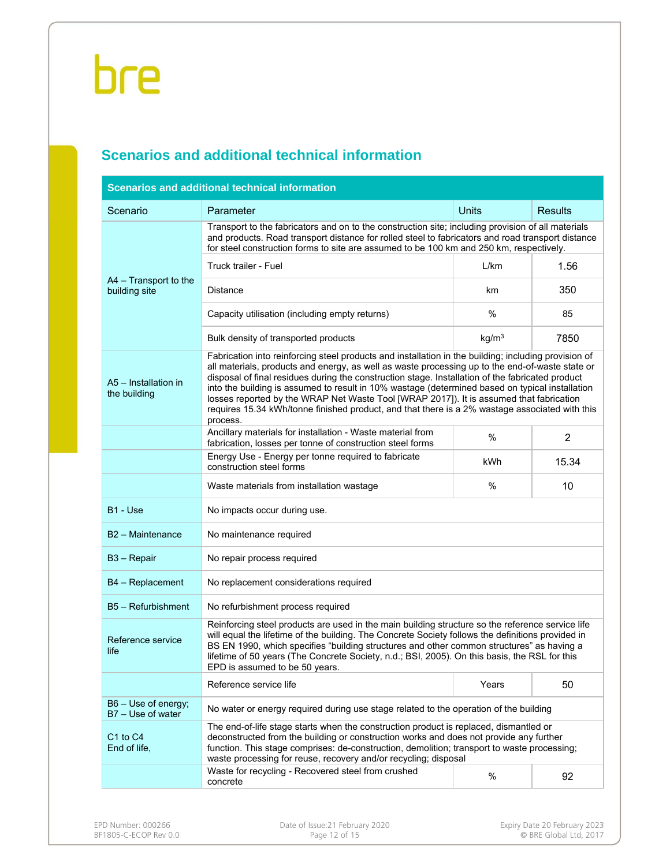### **Scenarios and additional technical information**

|                                          | Scenarios and additional technical information                                                                                                                                                                                                                                                                                                                                                                                                                                                                                                                                                                          |                   |                |  |  |  |  |  |  |
|------------------------------------------|-------------------------------------------------------------------------------------------------------------------------------------------------------------------------------------------------------------------------------------------------------------------------------------------------------------------------------------------------------------------------------------------------------------------------------------------------------------------------------------------------------------------------------------------------------------------------------------------------------------------------|-------------------|----------------|--|--|--|--|--|--|
| Scenario                                 | Parameter                                                                                                                                                                                                                                                                                                                                                                                                                                                                                                                                                                                                               | <b>Units</b>      | <b>Results</b> |  |  |  |  |  |  |
|                                          | Transport to the fabricators and on to the construction site; including provision of all materials<br>and products. Road transport distance for rolled steel to fabricators and road transport distance<br>for steel construction forms to site are assumed to be 100 km and 250 km, respectively.                                                                                                                                                                                                                                                                                                                      |                   |                |  |  |  |  |  |  |
|                                          | Truck trailer - Fuel                                                                                                                                                                                                                                                                                                                                                                                                                                                                                                                                                                                                    | L/km              | 1.56           |  |  |  |  |  |  |
| A4 - Transport to the<br>building site   | <b>Distance</b>                                                                                                                                                                                                                                                                                                                                                                                                                                                                                                                                                                                                         | km                | 350            |  |  |  |  |  |  |
|                                          | Capacity utilisation (including empty returns)                                                                                                                                                                                                                                                                                                                                                                                                                                                                                                                                                                          | %                 | 85             |  |  |  |  |  |  |
|                                          | Bulk density of transported products                                                                                                                                                                                                                                                                                                                                                                                                                                                                                                                                                                                    | kg/m <sup>3</sup> | 7850           |  |  |  |  |  |  |
| A5 - Installation in<br>the building     | Fabrication into reinforcing steel products and installation in the building; including provision of<br>all materials, products and energy, as well as waste processing up to the end-of-waste state or<br>disposal of final residues during the construction stage. Installation of the fabricated product<br>into the building is assumed to result in 10% wastage (determined based on typical installation<br>losses reported by the WRAP Net Waste Tool [WRAP 2017]). It is assumed that fabrication<br>requires 15.34 kWh/tonne finished product, and that there is a 2% wastage associated with this<br>process. |                   |                |  |  |  |  |  |  |
|                                          | Ancillary materials for installation - Waste material from<br>fabrication, losses per tonne of construction steel forms                                                                                                                                                                                                                                                                                                                                                                                                                                                                                                 | $\%$              | $\overline{2}$ |  |  |  |  |  |  |
|                                          | Energy Use - Energy per tonne required to fabricate<br>construction steel forms                                                                                                                                                                                                                                                                                                                                                                                                                                                                                                                                         | kWh               | 15.34          |  |  |  |  |  |  |
|                                          | Waste materials from installation wastage                                                                                                                                                                                                                                                                                                                                                                                                                                                                                                                                                                               | $\%$              | 10             |  |  |  |  |  |  |
| B1 - Use                                 | No impacts occur during use.                                                                                                                                                                                                                                                                                                                                                                                                                                                                                                                                                                                            |                   |                |  |  |  |  |  |  |
| B <sub>2</sub> - Maintenance             | No maintenance required                                                                                                                                                                                                                                                                                                                                                                                                                                                                                                                                                                                                 |                   |                |  |  |  |  |  |  |
| B <sub>3</sub> - Repair                  | No repair process required                                                                                                                                                                                                                                                                                                                                                                                                                                                                                                                                                                                              |                   |                |  |  |  |  |  |  |
| B4 - Replacement                         | No replacement considerations required                                                                                                                                                                                                                                                                                                                                                                                                                                                                                                                                                                                  |                   |                |  |  |  |  |  |  |
| B5 - Refurbishment                       | No refurbishment process required                                                                                                                                                                                                                                                                                                                                                                                                                                                                                                                                                                                       |                   |                |  |  |  |  |  |  |
| Reference service<br>life                | Reinforcing steel products are used in the main building structure so the reference service life<br>will equal the lifetime of the building. The Concrete Society follows the definitions provided in<br>BS EN 1990, which specifies "building structures and other common structures" as having a<br>lifetime of 50 years (The Concrete Society, n.d.; BSI, 2005). On this basis, the RSL for this<br>EPD is assumed to be 50 years.                                                                                                                                                                                   |                   |                |  |  |  |  |  |  |
|                                          | Reference service life                                                                                                                                                                                                                                                                                                                                                                                                                                                                                                                                                                                                  | Years             | 50             |  |  |  |  |  |  |
| B6 - Use of energy;<br>B7 - Use of water | No water or energy required during use stage related to the operation of the building                                                                                                                                                                                                                                                                                                                                                                                                                                                                                                                                   |                   |                |  |  |  |  |  |  |
| C1 to C4<br>End of life,                 | The end-of-life stage starts when the construction product is replaced, dismantled or<br>deconstructed from the building or construction works and does not provide any further<br>function. This stage comprises: de-construction, demolition; transport to waste processing;<br>waste processing for reuse, recovery and/or recycling; disposal                                                                                                                                                                                                                                                                       |                   |                |  |  |  |  |  |  |
|                                          | Waste for recycling - Recovered steel from crushed<br>concrete                                                                                                                                                                                                                                                                                                                                                                                                                                                                                                                                                          | $\%$              | 92             |  |  |  |  |  |  |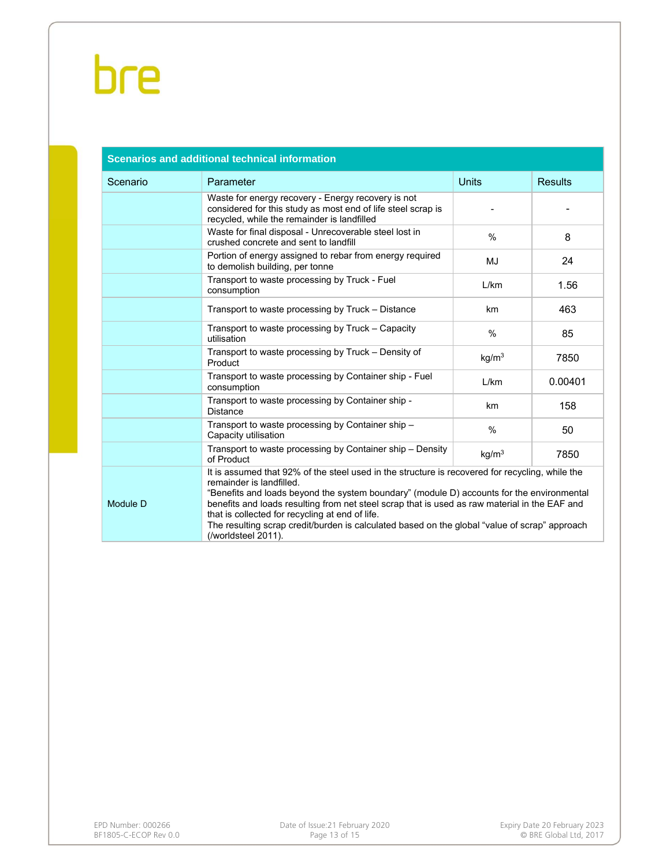|          | <b>Scenarios and additional technical information</b>                                                                                                                                                                                                                                                                                                                                                                                                                                                |                   |                |
|----------|------------------------------------------------------------------------------------------------------------------------------------------------------------------------------------------------------------------------------------------------------------------------------------------------------------------------------------------------------------------------------------------------------------------------------------------------------------------------------------------------------|-------------------|----------------|
| Scenario | Parameter                                                                                                                                                                                                                                                                                                                                                                                                                                                                                            | <b>Units</b>      | <b>Results</b> |
|          | Waste for energy recovery - Energy recovery is not<br>considered for this study as most end of life steel scrap is<br>recycled, while the remainder is landfilled                                                                                                                                                                                                                                                                                                                                    |                   |                |
|          | Waste for final disposal - Unrecoverable steel lost in<br>crushed concrete and sent to landfill                                                                                                                                                                                                                                                                                                                                                                                                      | $\%$              | 8              |
|          | Portion of energy assigned to rebar from energy required<br>to demolish building, per tonne                                                                                                                                                                                                                                                                                                                                                                                                          | MJ                | 24             |
|          | Transport to waste processing by Truck - Fuel<br>consumption                                                                                                                                                                                                                                                                                                                                                                                                                                         | L/km              | 1.56           |
|          | Transport to waste processing by Truck - Distance                                                                                                                                                                                                                                                                                                                                                                                                                                                    | km                | 463            |
|          | Transport to waste processing by Truck – Capacity<br>utilisation                                                                                                                                                                                                                                                                                                                                                                                                                                     | $\%$              | 85             |
|          | Transport to waste processing by Truck - Density of<br>Product                                                                                                                                                                                                                                                                                                                                                                                                                                       | kg/m <sup>3</sup> | 7850           |
|          | Transport to waste processing by Container ship - Fuel<br>consumption                                                                                                                                                                                                                                                                                                                                                                                                                                | L/km              | 0.00401        |
|          | Transport to waste processing by Container ship -<br><b>Distance</b>                                                                                                                                                                                                                                                                                                                                                                                                                                 | km                | 158            |
|          | Transport to waste processing by Container ship -<br>Capacity utilisation                                                                                                                                                                                                                                                                                                                                                                                                                            | $\frac{0}{0}$     | 50             |
|          | Transport to waste processing by Container ship - Density<br>of Product                                                                                                                                                                                                                                                                                                                                                                                                                              | kg/m <sup>3</sup> | 7850           |
| Module D | It is assumed that 92% of the steel used in the structure is recovered for recycling, while the<br>remainder is landfilled.<br>"Benefits and loads beyond the system boundary" (module D) accounts for the environmental<br>benefits and loads resulting from net steel scrap that is used as raw material in the EAF and<br>that is collected for recycling at end of life.<br>The resulting scrap credit/burden is calculated based on the global "value of scrap" approach<br>(/worldsteel 2011). |                   |                |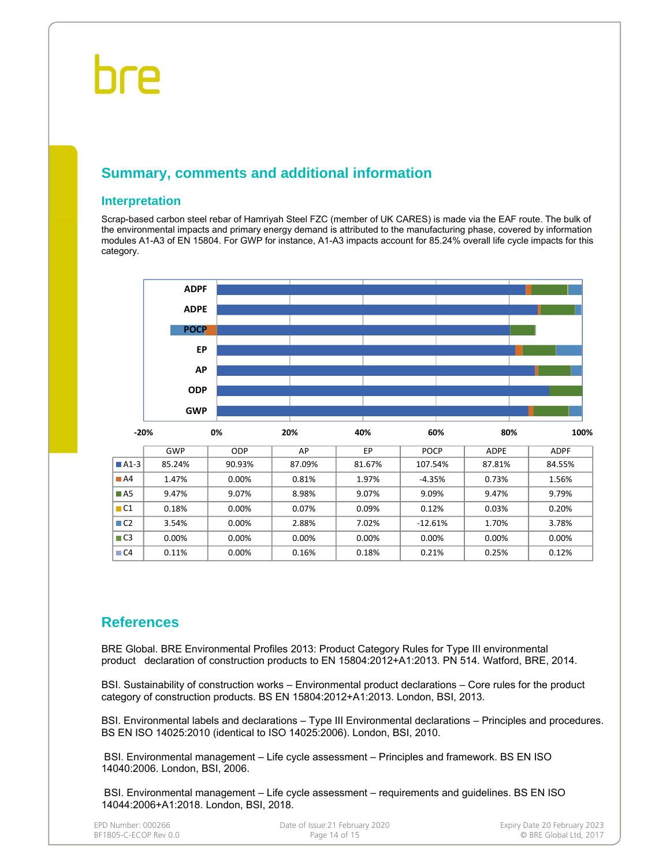### **Summary, comments and additional information**

#### **Interpretation**

Scrap-based carbon steel rebar of Hamriyah Steel FZC (member of UK CARES) is made via the EAF route. The bulk of the environmental impacts and primary energy demand is attributed to the manufacturing phase, covered by information modules A1-A3 of EN 15804. For GWP for instance, A1-A3 impacts account for 85.24% overall life cycle impacts for this category.



### **References**

BRE Global. BRE Environmental Profiles 2013: Product Category Rules for Type III environmental product declaration of construction products to EN 15804:2012+A1:2013. PN 514. Watford, BRE, 2014.

BSI. Sustainability of construction works – Environmental product declarations – Core rules for the product category of construction products. BS EN 15804:2012+A1:2013. London, BSI, 2013.

BSI. Environmental labels and declarations – Type III Environmental declarations – Principles and procedures. BS EN ISO 14025:2010 (identical to ISO 14025:2006). London, BSI, 2010.

 BSI. Environmental management – Life cycle assessment – Principles and framework. BS EN ISO 14040:2006. London, BSI, 2006.

 BSI. Environmental management – Life cycle assessment – requirements and guidelines. BS EN ISO 14044:2006+A1:2018. London, BSI, 2018.

| EPD Number: 000266    |
|-----------------------|
| BF1805-C-ECOP Rev 0.0 |